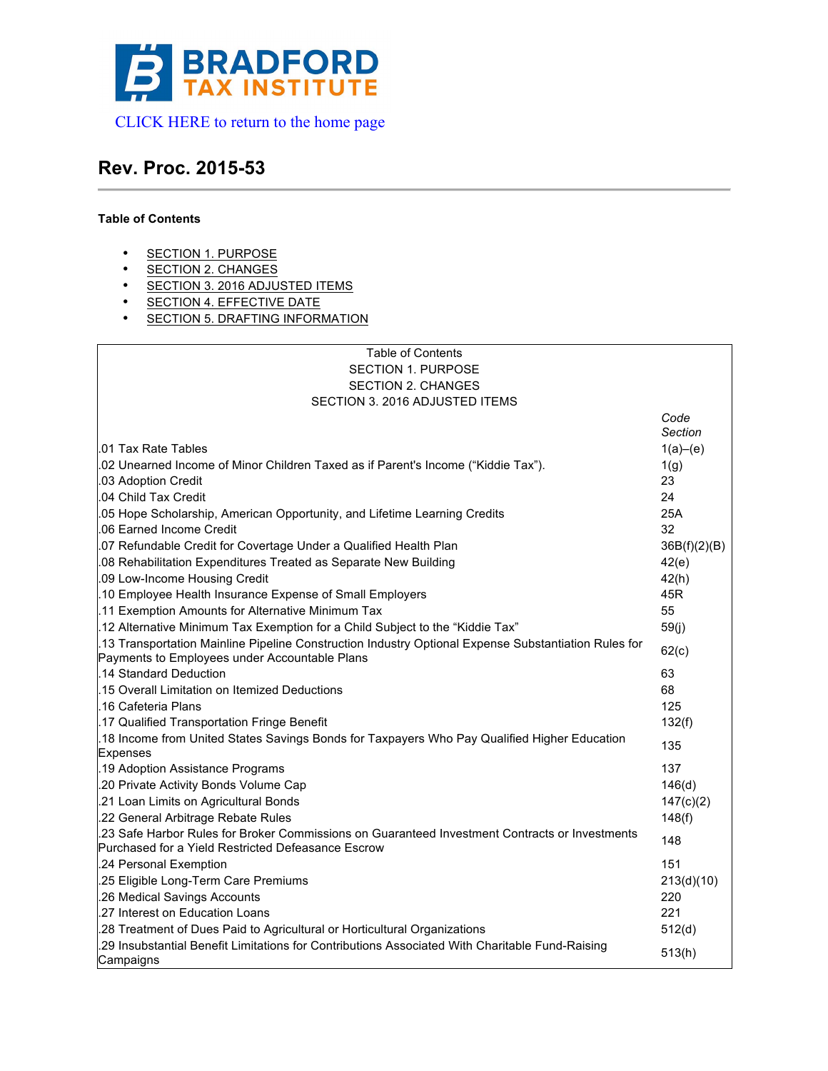

# **Rev. Proc. 2015-53**

# **Table of Contents**

- SECTION 1. PURPOSE
- SECTION 2. CHANGES
- SECTION 3. 2016 ADJUSTED ITEMS
- SECTION 4. EFFECTIVE DATE
- SECTION 5. DRAFTING INFORMATION

| Table of Contents                                                                                                                                    |                 |
|------------------------------------------------------------------------------------------------------------------------------------------------------|-----------------|
| <b>SECTION 1. PURPOSE</b>                                                                                                                            |                 |
| <b>SECTION 2. CHANGES</b>                                                                                                                            |                 |
| SECTION 3. 2016 ADJUSTED ITEMS                                                                                                                       |                 |
|                                                                                                                                                      | Code<br>Section |
| .01 Tax Rate Tables                                                                                                                                  | 1(a)–(e)        |
| .02 Unearned Income of Minor Children Taxed as if Parent's Income ("Kiddie Tax").                                                                    | 1(g)            |
| .03 Adoption Credit                                                                                                                                  | 23              |
| .04 Child Tax Credit                                                                                                                                 | 24              |
| .05 Hope Scholarship, American Opportunity, and Lifetime Learning Credits                                                                            | 25A             |
| 06 Earned Income Credit                                                                                                                              | 32              |
| 07 Refundable Credit for Covertage Under a Qualified Health Plan                                                                                     | 36B(f)(2)(B)    |
| 08 Rehabilitation Expenditures Treated as Separate New Building                                                                                      | 42(e)           |
| .09 Low-Income Housing Credit                                                                                                                        | 42(h)           |
| .10 Employee Health Insurance Expense of Small Employers                                                                                             | 45R             |
| .11 Exemption Amounts for Alternative Minimum Tax                                                                                                    | 55              |
| "12 Alternative Minimum Tax Exemption for a Child Subject to the "Kiddie Tax.                                                                        | 59(j)           |
| 13 Transportation Mainline Pipeline Construction Industry Optional Expense Substantiation Rules for<br>Payments to Employees under Accountable Plans | 62(c)           |
| .14 Standard Deduction                                                                                                                               | 63              |
| .15 Overall Limitation on Itemized Deductions                                                                                                        | 68              |
| .16 Cafeteria Plans                                                                                                                                  | 125             |
| .17 Qualified Transportation Fringe Benefit                                                                                                          | 132(f)          |
| 18 Income from United States Savings Bonds for Taxpayers Who Pay Qualified Higher Education                                                          |                 |
| Expenses                                                                                                                                             | 135             |
| .19 Adoption Assistance Programs                                                                                                                     | 137             |
| .20 Private Activity Bonds Volume Cap                                                                                                                | 146(d)          |
| .21 Loan Limits on Agricultural Bonds                                                                                                                | 147(c)(2)       |
| .22 General Arbitrage Rebate Rules                                                                                                                   | 148(f)          |
| .23 Safe Harbor Rules for Broker Commissions on Guaranteed Investment Contracts or Investments                                                       | 148             |
| Purchased for a Yield Restricted Defeasance Escrow                                                                                                   |                 |
| .24 Personal Exemption                                                                                                                               | 151             |
| .25 Eligible Long-Term Care Premiums                                                                                                                 | 213(d)(10)      |
| .26 Medical Savings Accounts                                                                                                                         | 220             |
| .27 Interest on Education Loans                                                                                                                      | 221             |
| 28 Treatment of Dues Paid to Agricultural or Horticultural Organizations                                                                             | 512(d)          |
| 29 Insubstantial Benefit Limitations for Contributions Associated With Charitable Fund-Raising<br>Campaigns                                          | 513(h)          |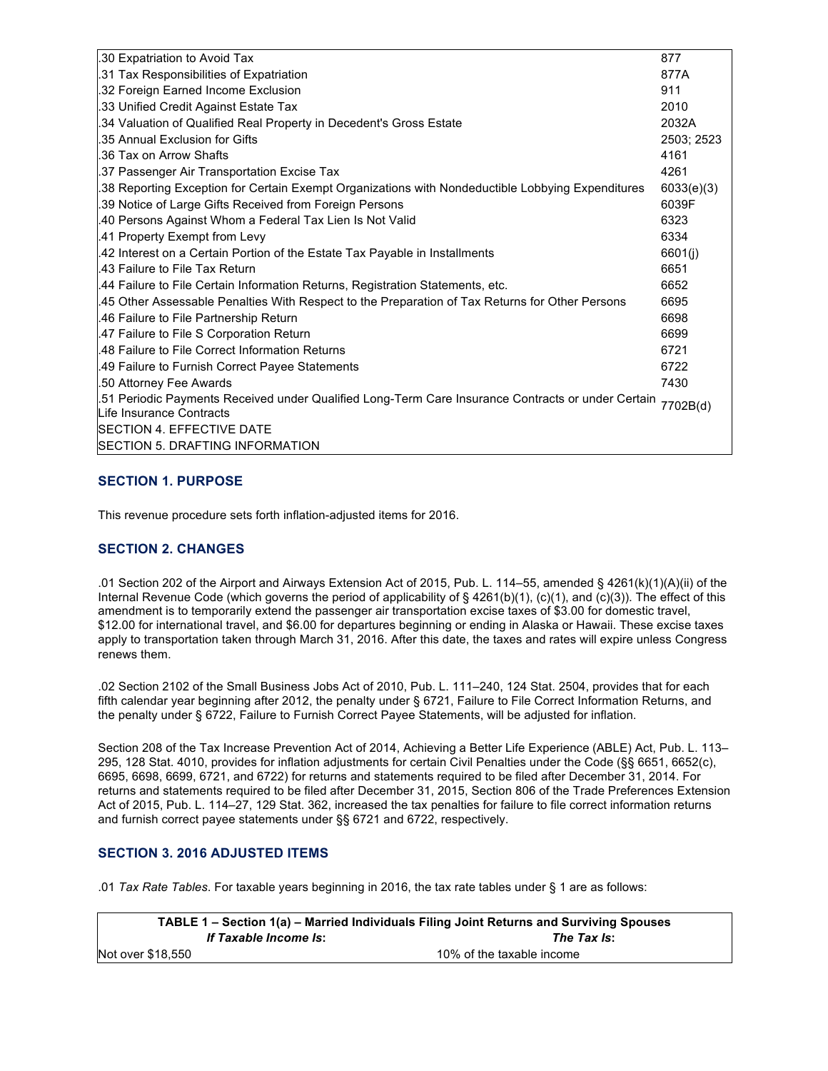| .30 Expatriation to Avoid Tax                                                                                                  | 877        |
|--------------------------------------------------------------------------------------------------------------------------------|------------|
| .31 Tax Responsibilities of Expatriation                                                                                       | 877A       |
| .32 Foreign Earned Income Exclusion                                                                                            | 911        |
| .33 Unified Credit Against Estate Tax                                                                                          | 2010       |
| .34 Valuation of Qualified Real Property in Decedent's Gross Estate                                                            | 2032A      |
| .35 Annual Exclusion for Gifts                                                                                                 | 2503; 2523 |
| .36 Tax on Arrow Shafts                                                                                                        | 4161       |
| .37 Passenger Air Transportation Excise Tax                                                                                    | 4261       |
| .38 Reporting Exception for Certain Exempt Organizations with Nondeductible Lobbying Expenditures                              | 6033(e)(3) |
| .39 Notice of Large Gifts Received from Foreign Persons                                                                        | 6039F      |
| .40 Persons Against Whom a Federal Tax Lien Is Not Valid                                                                       | 6323       |
| .41 Property Exempt from Levy                                                                                                  | 6334       |
| .42 Interest on a Certain Portion of the Estate Tax Payable in Installments                                                    | 6601(j)    |
| .43 Failure to File Tax Return                                                                                                 | 6651       |
| .44 Failure to File Certain Information Returns, Registration Statements, etc.                                                 | 6652       |
| 45 Other Assessable Penalties With Respect to the Preparation of Tax Returns for Other Persons                                 | 6695       |
| .46 Failure to File Partnership Return                                                                                         | 6698       |
| 47 Failure to File S Corporation Return                                                                                        | 6699       |
| .48 Failure to File Correct Information Returns                                                                                | 6721       |
| .49 Failure to Furnish Correct Payee Statements                                                                                | 6722       |
| .50 Attorney Fee Awards                                                                                                        | 7430       |
| .51 Periodic Payments Received under Qualified Long-Term Care Insurance Contracts or under Certain<br>Life Insurance Contracts | 7702B(d)   |
| <b>ISECTION 4. EFFECTIVE DATE</b>                                                                                              |            |
| SECTION 5. DRAFTING INFORMATION                                                                                                |            |
|                                                                                                                                |            |

## **SECTION 1. PURPOSE**

This revenue procedure sets forth inflation-adjusted items for 2016.

## **SECTION 2. CHANGES**

.01 Section 202 of the Airport and Airways Extension Act of 2015, Pub. L. 114–55, amended § 4261(k)(1)(A)(ii) of the Internal Revenue Code (which governs the period of applicability of § 4261(b)(1), (c)(1), and (c)(3)). The effect of this amendment is to temporarily extend the passenger air transportation excise taxes of \$3.00 for domestic travel, \$12.00 for international travel, and \$6.00 for departures beginning or ending in Alaska or Hawaii. These excise taxes apply to transportation taken through March 31, 2016. After this date, the taxes and rates will expire unless Congress renews them.

.02 Section 2102 of the Small Business Jobs Act of 2010, Pub. L. 111–240, 124 Stat. 2504, provides that for each fifth calendar year beginning after 2012, the penalty under § 6721, Failure to File Correct Information Returns, and the penalty under § 6722, Failure to Furnish Correct Payee Statements, will be adjusted for inflation.

Section 208 of the Tax Increase Prevention Act of 2014, Achieving a Better Life Experience (ABLE) Act, Pub. L. 113– 295, 128 Stat. 4010, provides for inflation adjustments for certain Civil Penalties under the Code (§§ 6651, 6652(c), 6695, 6698, 6699, 6721, and 6722) for returns and statements required to be filed after December 31, 2014. For returns and statements required to be filed after December 31, 2015, Section 806 of the Trade Preferences Extension Act of 2015, Pub. L. 114–27, 129 Stat. 362, increased the tax penalties for failure to file correct information returns and furnish correct payee statements under §§ 6721 and 6722, respectively.

## **SECTION 3. 2016 ADJUSTED ITEMS**

.01 *Tax Rate Tables*. For taxable years beginning in 2016, the tax rate tables under § 1 are as follows:

|                       | TABLE 1 – Section 1(a) – Married Individuals Filing Joint Returns and Surviving Spouses |
|-----------------------|-----------------------------------------------------------------------------------------|
| If Taxable Income Is: | The Tax Is:                                                                             |
| Not over \$18.550     | 10% of the taxable income                                                               |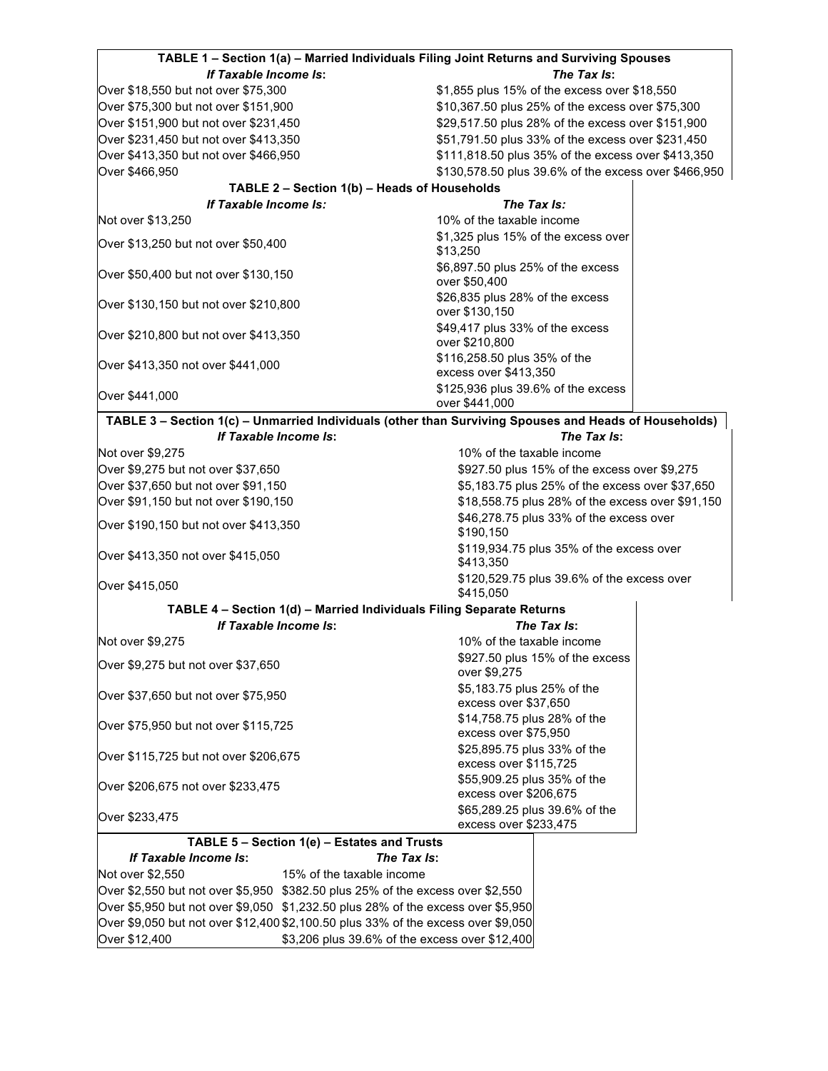| The Tax Is:<br>If Taxable Income Is:<br>\$1,855 plus 15% of the excess over \$18,550<br>Over \$75,300 but not over \$151,900<br>\$10,367.50 plus 25% of the excess over \$75,300<br>Over \$151,900 but not over \$231,450<br>\$29,517.50 plus 28% of the excess over \$151,900<br>Over \$231,450 but not over \$413,350<br>\$51,791.50 plus 33% of the excess over \$231,450<br>Over \$413,350 but not over \$466,950<br>\$111,818.50 plus 35% of the excess over \$413,350<br>\$130,578.50 plus 39.6% of the excess over \$466,950<br>Over \$466,950<br>TABLE 2 - Section 1(b) - Heads of Households<br>If Taxable Income Is:<br>The Tax Is:<br>10% of the taxable income<br>Not over \$13,250<br>\$1,325 plus 15% of the excess over<br>\$13,250<br>\$6,897.50 plus 25% of the excess<br>over \$50,400<br>\$26,835 plus 28% of the excess<br>over \$130,150<br>\$49,417 plus 33% of the excess<br>over \$210,800<br>\$116,258.50 plus 35% of the<br>excess over \$413,350<br>\$125,936 plus 39.6% of the excess<br>over \$441,000<br>TABLE 3 - Section 1(c) - Unmarried Individuals (other than Surviving Spouses and Heads of Households)<br>If Taxable Income Is:<br>The Tax Is:<br>10% of the taxable income<br>\$927.50 plus 15% of the excess over \$9,275<br>Over \$37,650 but not over \$91,150<br>\$5,183.75 plus 25% of the excess over \$37,650<br>Over \$91,150 but not over \$190,150<br>\$18,558.75 plus 28% of the excess over \$91,150<br>\$46,278.75 plus 33% of the excess over<br>\$190,150<br>\$119,934.75 plus 35% of the excess over<br>\$413,350<br>\$120,529.75 plus 39.6% of the excess over<br>\$415,050<br>TABLE 4 - Section 1(d) - Married Individuals Filing Separate Returns<br>If Taxable Income Is:<br>The Tax Is:<br>10% of the taxable income<br>\$927.50 plus 15% of the excess<br>over \$9,275<br>\$5,183.75 plus 25% of the<br>excess over \$37,650<br>\$14,758.75 plus 28% of the<br>excess over \$75,950<br>\$25,895.75 plus 33% of the<br>excess over \$115,725<br>\$55,909.25 plus 35% of the<br>excess over \$206,675<br>\$65,289.25 plus 39.6% of the<br>excess over \$233,475<br>TABLE 5 - Section 1(e) - Estates and Trusts<br>If Taxable Income Is:<br>The Tax Is:<br>15% of the taxable income<br>Over \$2,550 but not over \$5,950 \$382.50 plus 25% of the excess over \$2,550<br>Over \$5,950 but not over \$9,050 \$1,232.50 plus 28% of the excess over \$5,950<br>Over \$9,050 but not over \$12,400 \$2,100.50 plus 33% of the excess over \$9,050<br>\$3,206 plus 39.6% of the excess over \$12,400 | TABLE 1 - Section 1(a) - Married Individuals Filing Joint Returns and Surviving Spouses |  |  |
|-------------------------------------------------------------------------------------------------------------------------------------------------------------------------------------------------------------------------------------------------------------------------------------------------------------------------------------------------------------------------------------------------------------------------------------------------------------------------------------------------------------------------------------------------------------------------------------------------------------------------------------------------------------------------------------------------------------------------------------------------------------------------------------------------------------------------------------------------------------------------------------------------------------------------------------------------------------------------------------------------------------------------------------------------------------------------------------------------------------------------------------------------------------------------------------------------------------------------------------------------------------------------------------------------------------------------------------------------------------------------------------------------------------------------------------------------------------------------------------------------------------------------------------------------------------------------------------------------------------------------------------------------------------------------------------------------------------------------------------------------------------------------------------------------------------------------------------------------------------------------------------------------------------------------------------------------------------------------------------------------------------------------------------------------------------------------------------------------------------------------------------------------------------------------------------------------------------------------------------------------------------------------------------------------------------------------------------------------------------------------------------------------------------------------------------------------------------------------------------------------------------------------------------------------------------|-----------------------------------------------------------------------------------------|--|--|
|                                                                                                                                                                                                                                                                                                                                                                                                                                                                                                                                                                                                                                                                                                                                                                                                                                                                                                                                                                                                                                                                                                                                                                                                                                                                                                                                                                                                                                                                                                                                                                                                                                                                                                                                                                                                                                                                                                                                                                                                                                                                                                                                                                                                                                                                                                                                                                                                                                                                                                                                                             |                                                                                         |  |  |
|                                                                                                                                                                                                                                                                                                                                                                                                                                                                                                                                                                                                                                                                                                                                                                                                                                                                                                                                                                                                                                                                                                                                                                                                                                                                                                                                                                                                                                                                                                                                                                                                                                                                                                                                                                                                                                                                                                                                                                                                                                                                                                                                                                                                                                                                                                                                                                                                                                                                                                                                                             | Over \$18,550 but not over \$75,300                                                     |  |  |
|                                                                                                                                                                                                                                                                                                                                                                                                                                                                                                                                                                                                                                                                                                                                                                                                                                                                                                                                                                                                                                                                                                                                                                                                                                                                                                                                                                                                                                                                                                                                                                                                                                                                                                                                                                                                                                                                                                                                                                                                                                                                                                                                                                                                                                                                                                                                                                                                                                                                                                                                                             |                                                                                         |  |  |
|                                                                                                                                                                                                                                                                                                                                                                                                                                                                                                                                                                                                                                                                                                                                                                                                                                                                                                                                                                                                                                                                                                                                                                                                                                                                                                                                                                                                                                                                                                                                                                                                                                                                                                                                                                                                                                                                                                                                                                                                                                                                                                                                                                                                                                                                                                                                                                                                                                                                                                                                                             |                                                                                         |  |  |
|                                                                                                                                                                                                                                                                                                                                                                                                                                                                                                                                                                                                                                                                                                                                                                                                                                                                                                                                                                                                                                                                                                                                                                                                                                                                                                                                                                                                                                                                                                                                                                                                                                                                                                                                                                                                                                                                                                                                                                                                                                                                                                                                                                                                                                                                                                                                                                                                                                                                                                                                                             |                                                                                         |  |  |
|                                                                                                                                                                                                                                                                                                                                                                                                                                                                                                                                                                                                                                                                                                                                                                                                                                                                                                                                                                                                                                                                                                                                                                                                                                                                                                                                                                                                                                                                                                                                                                                                                                                                                                                                                                                                                                                                                                                                                                                                                                                                                                                                                                                                                                                                                                                                                                                                                                                                                                                                                             |                                                                                         |  |  |
|                                                                                                                                                                                                                                                                                                                                                                                                                                                                                                                                                                                                                                                                                                                                                                                                                                                                                                                                                                                                                                                                                                                                                                                                                                                                                                                                                                                                                                                                                                                                                                                                                                                                                                                                                                                                                                                                                                                                                                                                                                                                                                                                                                                                                                                                                                                                                                                                                                                                                                                                                             |                                                                                         |  |  |
|                                                                                                                                                                                                                                                                                                                                                                                                                                                                                                                                                                                                                                                                                                                                                                                                                                                                                                                                                                                                                                                                                                                                                                                                                                                                                                                                                                                                                                                                                                                                                                                                                                                                                                                                                                                                                                                                                                                                                                                                                                                                                                                                                                                                                                                                                                                                                                                                                                                                                                                                                             |                                                                                         |  |  |
|                                                                                                                                                                                                                                                                                                                                                                                                                                                                                                                                                                                                                                                                                                                                                                                                                                                                                                                                                                                                                                                                                                                                                                                                                                                                                                                                                                                                                                                                                                                                                                                                                                                                                                                                                                                                                                                                                                                                                                                                                                                                                                                                                                                                                                                                                                                                                                                                                                                                                                                                                             |                                                                                         |  |  |
|                                                                                                                                                                                                                                                                                                                                                                                                                                                                                                                                                                                                                                                                                                                                                                                                                                                                                                                                                                                                                                                                                                                                                                                                                                                                                                                                                                                                                                                                                                                                                                                                                                                                                                                                                                                                                                                                                                                                                                                                                                                                                                                                                                                                                                                                                                                                                                                                                                                                                                                                                             |                                                                                         |  |  |
|                                                                                                                                                                                                                                                                                                                                                                                                                                                                                                                                                                                                                                                                                                                                                                                                                                                                                                                                                                                                                                                                                                                                                                                                                                                                                                                                                                                                                                                                                                                                                                                                                                                                                                                                                                                                                                                                                                                                                                                                                                                                                                                                                                                                                                                                                                                                                                                                                                                                                                                                                             |                                                                                         |  |  |
|                                                                                                                                                                                                                                                                                                                                                                                                                                                                                                                                                                                                                                                                                                                                                                                                                                                                                                                                                                                                                                                                                                                                                                                                                                                                                                                                                                                                                                                                                                                                                                                                                                                                                                                                                                                                                                                                                                                                                                                                                                                                                                                                                                                                                                                                                                                                                                                                                                                                                                                                                             | Over \$13,250 but not over \$50,400                                                     |  |  |
|                                                                                                                                                                                                                                                                                                                                                                                                                                                                                                                                                                                                                                                                                                                                                                                                                                                                                                                                                                                                                                                                                                                                                                                                                                                                                                                                                                                                                                                                                                                                                                                                                                                                                                                                                                                                                                                                                                                                                                                                                                                                                                                                                                                                                                                                                                                                                                                                                                                                                                                                                             | Over \$50,400 but not over \$130,150                                                    |  |  |
|                                                                                                                                                                                                                                                                                                                                                                                                                                                                                                                                                                                                                                                                                                                                                                                                                                                                                                                                                                                                                                                                                                                                                                                                                                                                                                                                                                                                                                                                                                                                                                                                                                                                                                                                                                                                                                                                                                                                                                                                                                                                                                                                                                                                                                                                                                                                                                                                                                                                                                                                                             | Over \$130,150 but not over \$210,800                                                   |  |  |
|                                                                                                                                                                                                                                                                                                                                                                                                                                                                                                                                                                                                                                                                                                                                                                                                                                                                                                                                                                                                                                                                                                                                                                                                                                                                                                                                                                                                                                                                                                                                                                                                                                                                                                                                                                                                                                                                                                                                                                                                                                                                                                                                                                                                                                                                                                                                                                                                                                                                                                                                                             | Over \$210,800 but not over \$413,350                                                   |  |  |
|                                                                                                                                                                                                                                                                                                                                                                                                                                                                                                                                                                                                                                                                                                                                                                                                                                                                                                                                                                                                                                                                                                                                                                                                                                                                                                                                                                                                                                                                                                                                                                                                                                                                                                                                                                                                                                                                                                                                                                                                                                                                                                                                                                                                                                                                                                                                                                                                                                                                                                                                                             | Over \$413,350 not over \$441,000                                                       |  |  |
|                                                                                                                                                                                                                                                                                                                                                                                                                                                                                                                                                                                                                                                                                                                                                                                                                                                                                                                                                                                                                                                                                                                                                                                                                                                                                                                                                                                                                                                                                                                                                                                                                                                                                                                                                                                                                                                                                                                                                                                                                                                                                                                                                                                                                                                                                                                                                                                                                                                                                                                                                             | Over \$441,000                                                                          |  |  |
|                                                                                                                                                                                                                                                                                                                                                                                                                                                                                                                                                                                                                                                                                                                                                                                                                                                                                                                                                                                                                                                                                                                                                                                                                                                                                                                                                                                                                                                                                                                                                                                                                                                                                                                                                                                                                                                                                                                                                                                                                                                                                                                                                                                                                                                                                                                                                                                                                                                                                                                                                             |                                                                                         |  |  |
|                                                                                                                                                                                                                                                                                                                                                                                                                                                                                                                                                                                                                                                                                                                                                                                                                                                                                                                                                                                                                                                                                                                                                                                                                                                                                                                                                                                                                                                                                                                                                                                                                                                                                                                                                                                                                                                                                                                                                                                                                                                                                                                                                                                                                                                                                                                                                                                                                                                                                                                                                             |                                                                                         |  |  |
|                                                                                                                                                                                                                                                                                                                                                                                                                                                                                                                                                                                                                                                                                                                                                                                                                                                                                                                                                                                                                                                                                                                                                                                                                                                                                                                                                                                                                                                                                                                                                                                                                                                                                                                                                                                                                                                                                                                                                                                                                                                                                                                                                                                                                                                                                                                                                                                                                                                                                                                                                             | Not over \$9,275                                                                        |  |  |
|                                                                                                                                                                                                                                                                                                                                                                                                                                                                                                                                                                                                                                                                                                                                                                                                                                                                                                                                                                                                                                                                                                                                                                                                                                                                                                                                                                                                                                                                                                                                                                                                                                                                                                                                                                                                                                                                                                                                                                                                                                                                                                                                                                                                                                                                                                                                                                                                                                                                                                                                                             | Over \$9,275 but not over \$37,650                                                      |  |  |
|                                                                                                                                                                                                                                                                                                                                                                                                                                                                                                                                                                                                                                                                                                                                                                                                                                                                                                                                                                                                                                                                                                                                                                                                                                                                                                                                                                                                                                                                                                                                                                                                                                                                                                                                                                                                                                                                                                                                                                                                                                                                                                                                                                                                                                                                                                                                                                                                                                                                                                                                                             |                                                                                         |  |  |
|                                                                                                                                                                                                                                                                                                                                                                                                                                                                                                                                                                                                                                                                                                                                                                                                                                                                                                                                                                                                                                                                                                                                                                                                                                                                                                                                                                                                                                                                                                                                                                                                                                                                                                                                                                                                                                                                                                                                                                                                                                                                                                                                                                                                                                                                                                                                                                                                                                                                                                                                                             |                                                                                         |  |  |
|                                                                                                                                                                                                                                                                                                                                                                                                                                                                                                                                                                                                                                                                                                                                                                                                                                                                                                                                                                                                                                                                                                                                                                                                                                                                                                                                                                                                                                                                                                                                                                                                                                                                                                                                                                                                                                                                                                                                                                                                                                                                                                                                                                                                                                                                                                                                                                                                                                                                                                                                                             | Over \$190,150 but not over \$413,350                                                   |  |  |
|                                                                                                                                                                                                                                                                                                                                                                                                                                                                                                                                                                                                                                                                                                                                                                                                                                                                                                                                                                                                                                                                                                                                                                                                                                                                                                                                                                                                                                                                                                                                                                                                                                                                                                                                                                                                                                                                                                                                                                                                                                                                                                                                                                                                                                                                                                                                                                                                                                                                                                                                                             | Over \$413,350 not over \$415,050                                                       |  |  |
|                                                                                                                                                                                                                                                                                                                                                                                                                                                                                                                                                                                                                                                                                                                                                                                                                                                                                                                                                                                                                                                                                                                                                                                                                                                                                                                                                                                                                                                                                                                                                                                                                                                                                                                                                                                                                                                                                                                                                                                                                                                                                                                                                                                                                                                                                                                                                                                                                                                                                                                                                             | Over \$415,050                                                                          |  |  |
|                                                                                                                                                                                                                                                                                                                                                                                                                                                                                                                                                                                                                                                                                                                                                                                                                                                                                                                                                                                                                                                                                                                                                                                                                                                                                                                                                                                                                                                                                                                                                                                                                                                                                                                                                                                                                                                                                                                                                                                                                                                                                                                                                                                                                                                                                                                                                                                                                                                                                                                                                             |                                                                                         |  |  |
|                                                                                                                                                                                                                                                                                                                                                                                                                                                                                                                                                                                                                                                                                                                                                                                                                                                                                                                                                                                                                                                                                                                                                                                                                                                                                                                                                                                                                                                                                                                                                                                                                                                                                                                                                                                                                                                                                                                                                                                                                                                                                                                                                                                                                                                                                                                                                                                                                                                                                                                                                             |                                                                                         |  |  |
|                                                                                                                                                                                                                                                                                                                                                                                                                                                                                                                                                                                                                                                                                                                                                                                                                                                                                                                                                                                                                                                                                                                                                                                                                                                                                                                                                                                                                                                                                                                                                                                                                                                                                                                                                                                                                                                                                                                                                                                                                                                                                                                                                                                                                                                                                                                                                                                                                                                                                                                                                             | Not over \$9,275                                                                        |  |  |
|                                                                                                                                                                                                                                                                                                                                                                                                                                                                                                                                                                                                                                                                                                                                                                                                                                                                                                                                                                                                                                                                                                                                                                                                                                                                                                                                                                                                                                                                                                                                                                                                                                                                                                                                                                                                                                                                                                                                                                                                                                                                                                                                                                                                                                                                                                                                                                                                                                                                                                                                                             | Over \$9,275 but not over \$37,650                                                      |  |  |
|                                                                                                                                                                                                                                                                                                                                                                                                                                                                                                                                                                                                                                                                                                                                                                                                                                                                                                                                                                                                                                                                                                                                                                                                                                                                                                                                                                                                                                                                                                                                                                                                                                                                                                                                                                                                                                                                                                                                                                                                                                                                                                                                                                                                                                                                                                                                                                                                                                                                                                                                                             | Over \$37,650 but not over \$75,950                                                     |  |  |
|                                                                                                                                                                                                                                                                                                                                                                                                                                                                                                                                                                                                                                                                                                                                                                                                                                                                                                                                                                                                                                                                                                                                                                                                                                                                                                                                                                                                                                                                                                                                                                                                                                                                                                                                                                                                                                                                                                                                                                                                                                                                                                                                                                                                                                                                                                                                                                                                                                                                                                                                                             | Over \$75,950 but not over \$115,725                                                    |  |  |
|                                                                                                                                                                                                                                                                                                                                                                                                                                                                                                                                                                                                                                                                                                                                                                                                                                                                                                                                                                                                                                                                                                                                                                                                                                                                                                                                                                                                                                                                                                                                                                                                                                                                                                                                                                                                                                                                                                                                                                                                                                                                                                                                                                                                                                                                                                                                                                                                                                                                                                                                                             | Over \$115,725 but not over \$206,675                                                   |  |  |
|                                                                                                                                                                                                                                                                                                                                                                                                                                                                                                                                                                                                                                                                                                                                                                                                                                                                                                                                                                                                                                                                                                                                                                                                                                                                                                                                                                                                                                                                                                                                                                                                                                                                                                                                                                                                                                                                                                                                                                                                                                                                                                                                                                                                                                                                                                                                                                                                                                                                                                                                                             | Over \$206,675 not over \$233,475                                                       |  |  |
|                                                                                                                                                                                                                                                                                                                                                                                                                                                                                                                                                                                                                                                                                                                                                                                                                                                                                                                                                                                                                                                                                                                                                                                                                                                                                                                                                                                                                                                                                                                                                                                                                                                                                                                                                                                                                                                                                                                                                                                                                                                                                                                                                                                                                                                                                                                                                                                                                                                                                                                                                             | Over \$233,475                                                                          |  |  |
|                                                                                                                                                                                                                                                                                                                                                                                                                                                                                                                                                                                                                                                                                                                                                                                                                                                                                                                                                                                                                                                                                                                                                                                                                                                                                                                                                                                                                                                                                                                                                                                                                                                                                                                                                                                                                                                                                                                                                                                                                                                                                                                                                                                                                                                                                                                                                                                                                                                                                                                                                             |                                                                                         |  |  |
|                                                                                                                                                                                                                                                                                                                                                                                                                                                                                                                                                                                                                                                                                                                                                                                                                                                                                                                                                                                                                                                                                                                                                                                                                                                                                                                                                                                                                                                                                                                                                                                                                                                                                                                                                                                                                                                                                                                                                                                                                                                                                                                                                                                                                                                                                                                                                                                                                                                                                                                                                             |                                                                                         |  |  |
|                                                                                                                                                                                                                                                                                                                                                                                                                                                                                                                                                                                                                                                                                                                                                                                                                                                                                                                                                                                                                                                                                                                                                                                                                                                                                                                                                                                                                                                                                                                                                                                                                                                                                                                                                                                                                                                                                                                                                                                                                                                                                                                                                                                                                                                                                                                                                                                                                                                                                                                                                             | Not over \$2,550                                                                        |  |  |
|                                                                                                                                                                                                                                                                                                                                                                                                                                                                                                                                                                                                                                                                                                                                                                                                                                                                                                                                                                                                                                                                                                                                                                                                                                                                                                                                                                                                                                                                                                                                                                                                                                                                                                                                                                                                                                                                                                                                                                                                                                                                                                                                                                                                                                                                                                                                                                                                                                                                                                                                                             |                                                                                         |  |  |
|                                                                                                                                                                                                                                                                                                                                                                                                                                                                                                                                                                                                                                                                                                                                                                                                                                                                                                                                                                                                                                                                                                                                                                                                                                                                                                                                                                                                                                                                                                                                                                                                                                                                                                                                                                                                                                                                                                                                                                                                                                                                                                                                                                                                                                                                                                                                                                                                                                                                                                                                                             |                                                                                         |  |  |
|                                                                                                                                                                                                                                                                                                                                                                                                                                                                                                                                                                                                                                                                                                                                                                                                                                                                                                                                                                                                                                                                                                                                                                                                                                                                                                                                                                                                                                                                                                                                                                                                                                                                                                                                                                                                                                                                                                                                                                                                                                                                                                                                                                                                                                                                                                                                                                                                                                                                                                                                                             |                                                                                         |  |  |
|                                                                                                                                                                                                                                                                                                                                                                                                                                                                                                                                                                                                                                                                                                                                                                                                                                                                                                                                                                                                                                                                                                                                                                                                                                                                                                                                                                                                                                                                                                                                                                                                                                                                                                                                                                                                                                                                                                                                                                                                                                                                                                                                                                                                                                                                                                                                                                                                                                                                                                                                                             | Over \$12,400                                                                           |  |  |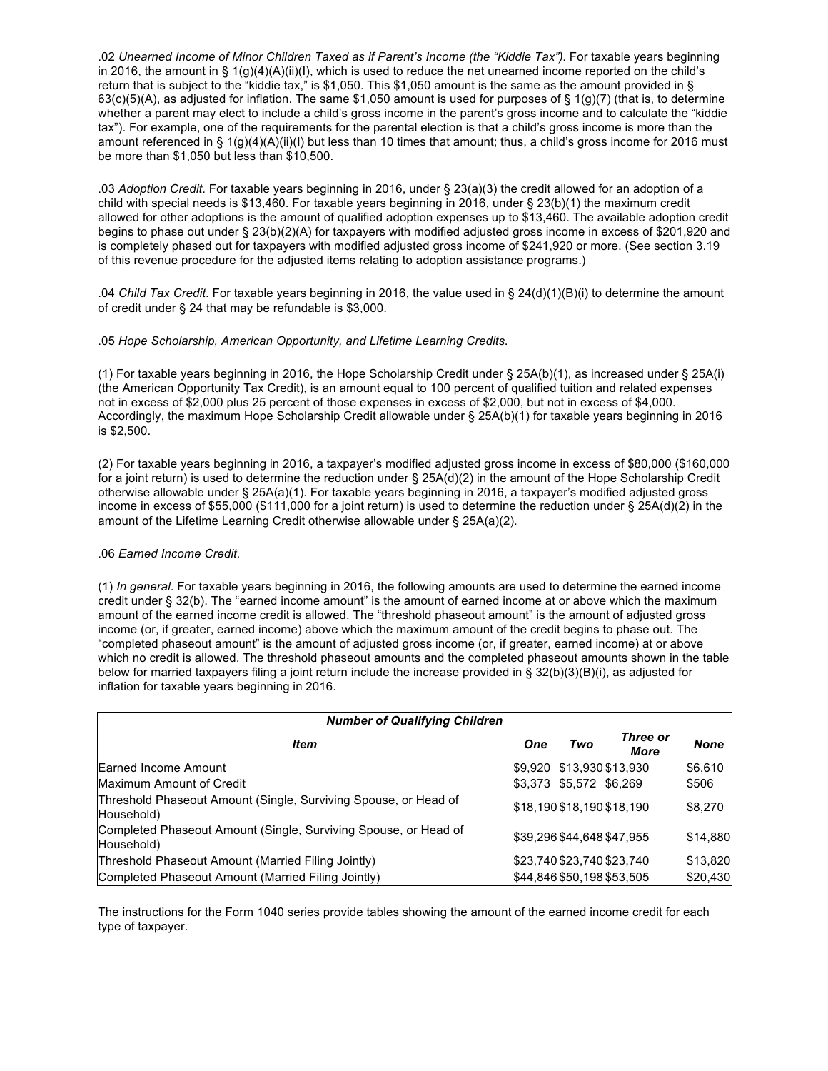.02 *Unearned Income of Minor Children Taxed as if Parent's Income (the "Kiddie Tax")*. For taxable years beginning in 2016, the amount in §  $1(g)(4)(A)(ii)(I)$ , which is used to reduce the net unearned income reported on the child's return that is subject to the "kiddie tax," is \$1,050. This \$1,050 amount is the same as the amount provided in §  $63(c)(5)(A)$ , as adjusted for inflation. The same \$1,050 amount is used for purposes of § 1(g)(7) (that is, to determine whether a parent may elect to include a child's gross income in the parent's gross income and to calculate the "kiddie tax"). For example, one of the requirements for the parental election is that a child's gross income is more than the amount referenced in § 1(g)(4)(A)(ii)(I) but less than 10 times that amount; thus, a child's gross income for 2016 must be more than \$1,050 but less than \$10,500.

.03 *Adoption Credit*. For taxable years beginning in 2016, under § 23(a)(3) the credit allowed for an adoption of a child with special needs is \$13,460. For taxable years beginning in 2016, under § 23(b)(1) the maximum credit allowed for other adoptions is the amount of qualified adoption expenses up to \$13,460. The available adoption credit begins to phase out under § 23(b)(2)(A) for taxpayers with modified adjusted gross income in excess of \$201,920 and is completely phased out for taxpayers with modified adjusted gross income of \$241,920 or more. (See section 3.19 of this revenue procedure for the adjusted items relating to adoption assistance programs.)

.04 *Child Tax Credit*. For taxable years beginning in 2016, the value used in § 24(d)(1)(B)(i) to determine the amount of credit under § 24 that may be refundable is \$3,000.

#### .05 *Hope Scholarship, American Opportunity, and Lifetime Learning Credits*.

(1) For taxable years beginning in 2016, the Hope Scholarship Credit under § 25A(b)(1), as increased under § 25A(i) (the American Opportunity Tax Credit), is an amount equal to 100 percent of qualified tuition and related expenses not in excess of \$2,000 plus 25 percent of those expenses in excess of \$2,000, but not in excess of \$4,000. Accordingly, the maximum Hope Scholarship Credit allowable under § 25A(b)(1) for taxable years beginning in 2016 is \$2,500.

(2) For taxable years beginning in 2016, a taxpayer's modified adjusted gross income in excess of \$80,000 (\$160,000 for a joint return) is used to determine the reduction under § 25A(d)(2) in the amount of the Hope Scholarship Credit otherwise allowable under § 25A(a)(1). For taxable years beginning in 2016, a taxpayer's modified adjusted gross income in excess of \$55,000 (\$111,000 for a joint return) is used to determine the reduction under § 25A(d)(2) in the amount of the Lifetime Learning Credit otherwise allowable under § 25A(a)(2).

#### .06 *Earned Income Credit*.

(1) *In general*. For taxable years beginning in 2016, the following amounts are used to determine the earned income credit under § 32(b). The "earned income amount" is the amount of earned income at or above which the maximum amount of the earned income credit is allowed. The "threshold phaseout amount" is the amount of adjusted gross income (or, if greater, earned income) above which the maximum amount of the credit begins to phase out. The "completed phaseout amount" is the amount of adjusted gross income (or, if greater, earned income) at or above which no credit is allowed. The threshold phaseout amounts and the completed phaseout amounts shown in the table below for married taxpayers filing a joint return include the increase provided in § 32(b)(3)(B)(i), as adjusted for inflation for taxable years beginning in 2016.

| <b>Number of Qualifying Children</b>                                          |            |                         |                            |          |
|-------------------------------------------------------------------------------|------------|-------------------------|----------------------------|----------|
| Item                                                                          | <b>One</b> | Two                     | Three or<br>More           | None     |
| Earned Income Amount                                                          |            |                         | \$9,920 \$13,930 \$13,930  | \$6,610  |
| Maximum Amount of Credit                                                      |            | \$3,373 \$5,572 \$6,269 |                            | \$506    |
| Threshold Phaseout Amount (Single, Surviving Spouse, or Head of<br>Household) |            |                         | \$18,190 \$18,190 \$18,190 | \$8,270  |
| Completed Phaseout Amount (Single, Surviving Spouse, or Head of<br>Household) |            |                         | \$39.296 \$44.648 \$47.955 | \$14,880 |
| Threshold Phaseout Amount (Married Filing Jointly)                            |            |                         | \$23,740 \$23,740 \$23,740 | \$13,820 |
| Completed Phaseout Amount (Married Filing Jointly)                            |            |                         | \$44,846 \$50,198 \$53,505 | \$20,430 |

The instructions for the Form 1040 series provide tables showing the amount of the earned income credit for each type of taxpayer.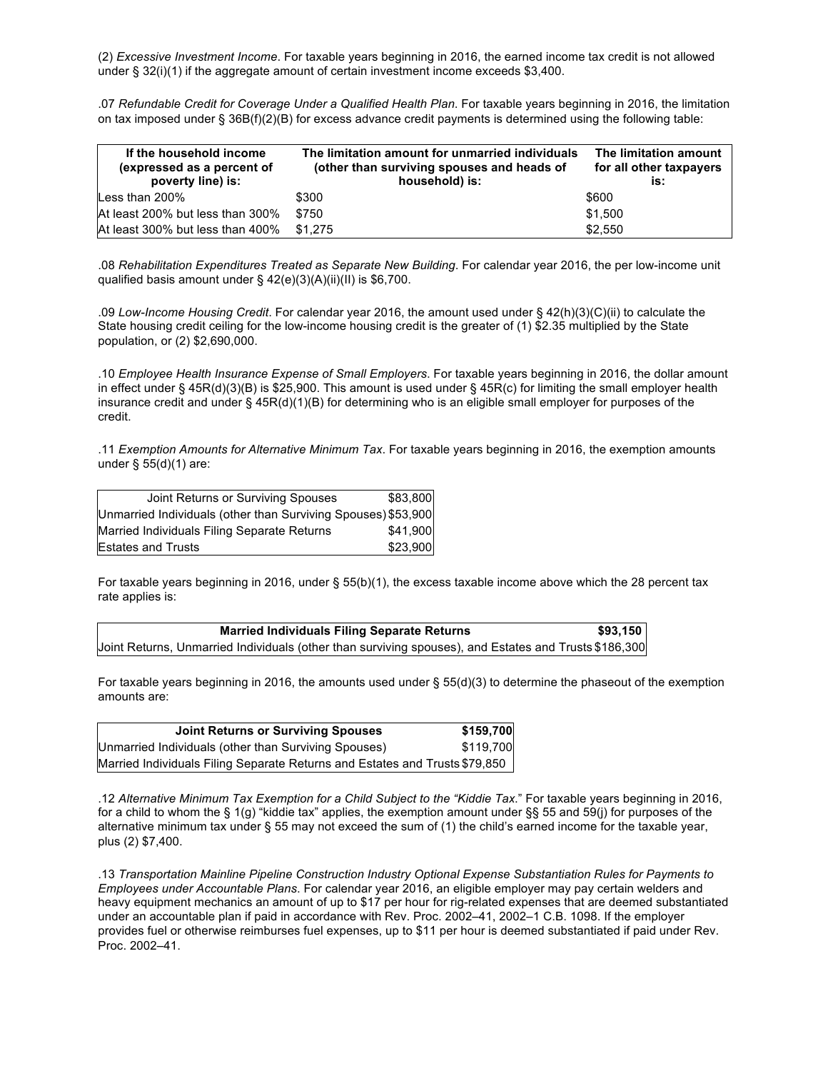(2) *Excessive Investment Income*. For taxable years beginning in 2016, the earned income tax credit is not allowed under § 32(i)(1) if the aggregate amount of certain investment income exceeds \$3,400.

.07 *Refundable Credit for Coverage Under a Qualified Health Plan*. For taxable years beginning in 2016, the limitation on tax imposed under § 36B(f)(2)(B) for excess advance credit payments is determined using the following table:

| If the household income<br>(expressed as a percent of<br>poverty line) is: | The limitation amount for unmarried individuals<br>(other than surviving spouses and heads of<br>household) is: | The limitation amount<br>for all other taxpayers<br>is: |
|----------------------------------------------------------------------------|-----------------------------------------------------------------------------------------------------------------|---------------------------------------------------------|
| Less than 200%                                                             | \$300                                                                                                           | \$600                                                   |
| At least 200% but less than 300%                                           | \$750                                                                                                           | \$1.500                                                 |
| At least 300% but less than 400%                                           | \$1,275                                                                                                         | \$2.550                                                 |

.08 *Rehabilitation Expenditures Treated as Separate New Building*. For calendar year 2016, the per low-income unit qualified basis amount under § 42(e)(3)(A)(ii)(II) is \$6,700.

.09 *Low-Income Housing Credit*. For calendar year 2016, the amount used under § 42(h)(3)(C)(ii) to calculate the State housing credit ceiling for the low-income housing credit is the greater of (1) \$2.35 multiplied by the State population, or (2) \$2,690,000.

.10 *Employee Health Insurance Expense of Small Employers*. For taxable years beginning in 2016, the dollar amount in effect under § 45R(d)(3)(B) is \$25,900. This amount is used under § 45R(c) for limiting the small employer health insurance credit and under § 45R(d)(1)(B) for determining who is an eligible small employer for purposes of the credit.

.11 *Exemption Amounts for Alternative Minimum Tax*. For taxable years beginning in 2016, the exemption amounts under § 55(d)(1) are:

| Joint Returns or Surviving Spouses                            | \$83,800 |
|---------------------------------------------------------------|----------|
| Unmarried Individuals (other than Surviving Spouses) \$53,900 |          |
| Married Individuals Filing Separate Returns                   | \$41,900 |
| <b>Estates and Trusts</b>                                     | \$23,900 |

For taxable years beginning in 2016, under § 55(b)(1), the excess taxable income above which the 28 percent tax rate applies is:

| <b>Married Individuals Filing Separate Returns</b>                                                    | \$93.150 |
|-------------------------------------------------------------------------------------------------------|----------|
| Joint Returns, Unmarried Individuals (other than surviving spouses), and Estates and Trusts \$186,300 |          |

For taxable years beginning in 2016, the amounts used under § 55(d)(3) to determine the phaseout of the exemption amounts are:

| <b>Joint Returns or Surviving Spouses</b>                                   | \$159,700 |
|-----------------------------------------------------------------------------|-----------|
| Unmarried Individuals (other than Surviving Spouses)                        | \$119,700 |
| Married Individuals Filing Separate Returns and Estates and Trusts \$79,850 |           |

.12 *Alternative Minimum Tax Exemption for a Child Subject to the "Kiddie Tax*." For taxable years beginning in 2016, for a child to whom the § 1(g) "kiddie tax" applies, the exemption amount under §§ 55 and 59(j) for purposes of the alternative minimum tax under § 55 may not exceed the sum of (1) the child's earned income for the taxable year, plus (2) \$7,400.

.13 *Transportation Mainline Pipeline Construction Industry Optional Expense Substantiation Rules for Payments to Employees under Accountable Plans*. For calendar year 2016, an eligible employer may pay certain welders and heavy equipment mechanics an amount of up to \$17 per hour for rig-related expenses that are deemed substantiated under an accountable plan if paid in accordance with Rev. Proc. 2002–41, 2002–1 C.B. 1098. If the employer provides fuel or otherwise reimburses fuel expenses, up to \$11 per hour is deemed substantiated if paid under Rev. Proc. 2002–41.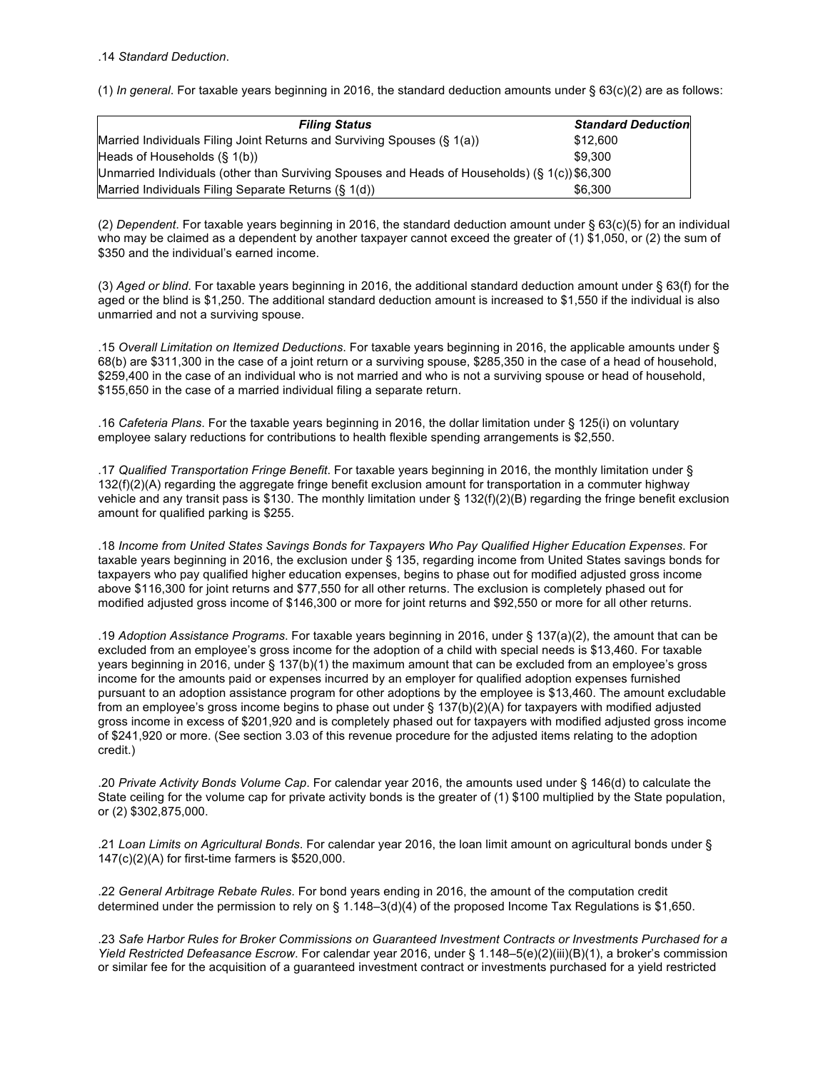(1) *In general*. For taxable years beginning in 2016, the standard deduction amounts under § 63(c)(2) are as follows:

| <b>Filing Status</b>                                                                          | <b>Standard Deduction</b> |
|-----------------------------------------------------------------------------------------------|---------------------------|
| Married Individuals Filing Joint Returns and Surviving Spouses (§ 1(a))                       | \$12,600                  |
| Heads of Households $(\S 1(b))$                                                               | \$9,300                   |
| Unmarried Individuals (other than Surviving Spouses and Heads of Households) (§ 1(c)) \$6,300 |                           |
| Married Individuals Filing Separate Returns (§ 1(d))                                          | \$6.300                   |

(2) *Dependent*. For taxable years beginning in 2016, the standard deduction amount under § 63(c)(5) for an individual who may be claimed as a dependent by another taxpayer cannot exceed the greater of (1) \$1,050, or (2) the sum of \$350 and the individual's earned income.

(3) *Aged or blind*. For taxable years beginning in 2016, the additional standard deduction amount under § 63(f) for the aged or the blind is \$1,250. The additional standard deduction amount is increased to \$1,550 if the individual is also unmarried and not a surviving spouse.

.15 *Overall Limitation on Itemized Deductions*. For taxable years beginning in 2016, the applicable amounts under § 68(b) are \$311,300 in the case of a joint return or a surviving spouse, \$285,350 in the case of a head of household, \$259,400 in the case of an individual who is not married and who is not a surviving spouse or head of household, \$155,650 in the case of a married individual filing a separate return.

.16 *Cafeteria Plans*. For the taxable years beginning in 2016, the dollar limitation under § 125(i) on voluntary employee salary reductions for contributions to health flexible spending arrangements is \$2,550.

.17 *Qualified Transportation Fringe Benefit*. For taxable years beginning in 2016, the monthly limitation under § 132(f)(2)(A) regarding the aggregate fringe benefit exclusion amount for transportation in a commuter highway vehicle and any transit pass is \$130. The monthly limitation under § 132(f)(2)(B) regarding the fringe benefit exclusion amount for qualified parking is \$255.

.18 *Income from United States Savings Bonds for Taxpayers Who Pay Qualified Higher Education Expenses*. For taxable years beginning in 2016, the exclusion under § 135, regarding income from United States savings bonds for taxpayers who pay qualified higher education expenses, begins to phase out for modified adjusted gross income above \$116,300 for joint returns and \$77,550 for all other returns. The exclusion is completely phased out for modified adjusted gross income of \$146,300 or more for joint returns and \$92,550 or more for all other returns.

.19 *Adoption Assistance Programs*. For taxable years beginning in 2016, under § 137(a)(2), the amount that can be excluded from an employee's gross income for the adoption of a child with special needs is \$13,460. For taxable years beginning in 2016, under § 137(b)(1) the maximum amount that can be excluded from an employee's gross income for the amounts paid or expenses incurred by an employer for qualified adoption expenses furnished pursuant to an adoption assistance program for other adoptions by the employee is \$13,460. The amount excludable from an employee's gross income begins to phase out under § 137(b)(2)(A) for taxpayers with modified adjusted gross income in excess of \$201,920 and is completely phased out for taxpayers with modified adjusted gross income of \$241,920 or more. (See section 3.03 of this revenue procedure for the adjusted items relating to the adoption credit.)

.20 *Private Activity Bonds Volume Cap*. For calendar year 2016, the amounts used under § 146(d) to calculate the State ceiling for the volume cap for private activity bonds is the greater of (1) \$100 multiplied by the State population, or (2) \$302,875,000.

.21 *Loan Limits on Agricultural Bonds*. For calendar year 2016, the loan limit amount on agricultural bonds under § 147(c)(2)(A) for first-time farmers is \$520,000.

.22 *General Arbitrage Rebate Rules*. For bond years ending in 2016, the amount of the computation credit determined under the permission to rely on § 1.148–3(d)(4) of the proposed Income Tax Regulations is \$1,650.

.23 *Safe Harbor Rules for Broker Commissions on Guaranteed Investment Contracts or Investments Purchased for a Yield Restricted Defeasance Escrow*. For calendar year 2016, under § 1.148–5(e)(2)(iii)(B)(1), a broker's commission or similar fee for the acquisition of a guaranteed investment contract or investments purchased for a yield restricted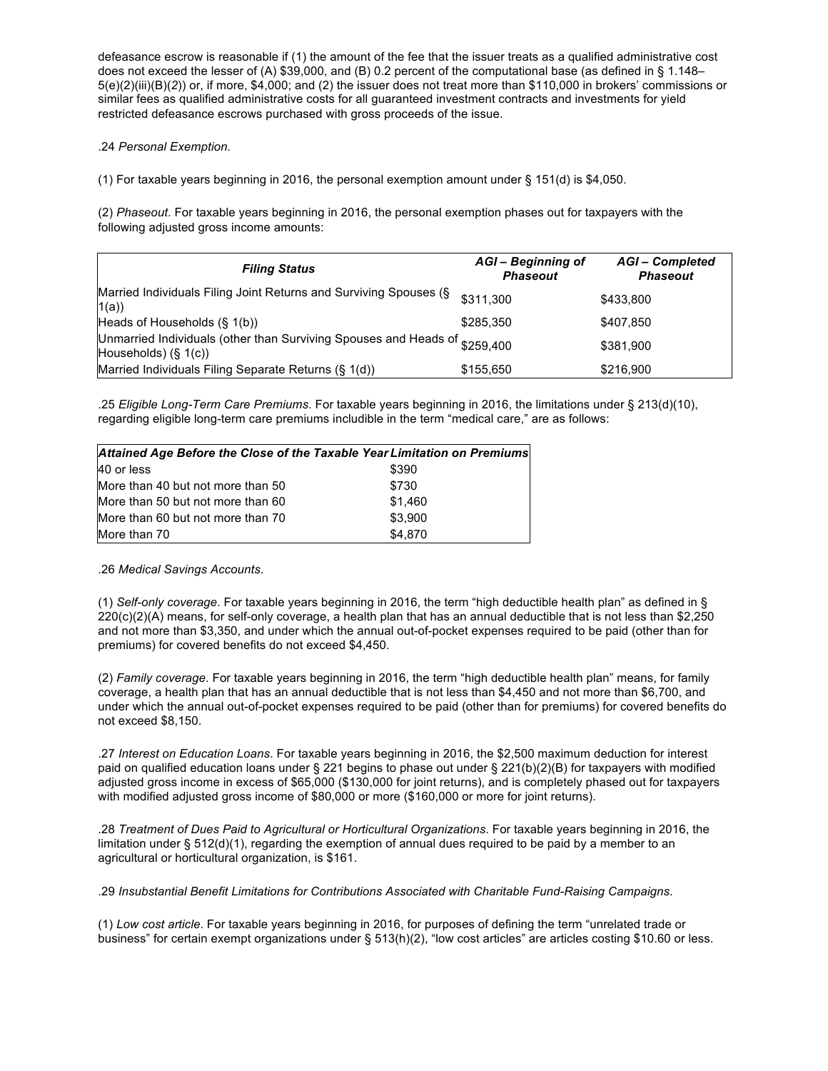defeasance escrow is reasonable if (1) the amount of the fee that the issuer treats as a qualified administrative cost does not exceed the lesser of (A) \$39,000, and (B) 0.2 percent of the computational base (as defined in § 1.148– 5(e)(2)(iii)(B)(*2*)) or, if more, \$4,000; and (2) the issuer does not treat more than \$110,000 in brokers' commissions or similar fees as qualified administrative costs for all guaranteed investment contracts and investments for yield restricted defeasance escrows purchased with gross proceeds of the issue.

#### .24 *Personal Exemption*.

(1) For taxable years beginning in 2016, the personal exemption amount under § 151(d) is \$4,050.

(2) *Phaseout*. For taxable years beginning in 2016, the personal exemption phases out for taxpayers with the following adjusted gross income amounts:

| <b>Filing Status</b>                                                                                  | AGI-Beginning of<br><b>Phaseout</b> | <b>AGI-Completed</b><br><b>Phaseout</b> |
|-------------------------------------------------------------------------------------------------------|-------------------------------------|-----------------------------------------|
| Married Individuals Filing Joint Returns and Surviving Spouses (§<br>1(a)                             | \$311.300                           | \$433,800                               |
| Heads of Households (§ 1(b))                                                                          | \$285.350                           | \$407,850                               |
| Unmarried Individuals (other than Surviving Spouses and Heads of \$259,400<br>Households) $(\S 1(c))$ |                                     | \$381,900                               |
| Married Individuals Filing Separate Returns (§ 1(d))                                                  | \$155,650                           | \$216,900                               |

.25 *Eligible Long-Term Care Premiums*. For taxable years beginning in 2016, the limitations under § 213(d)(10), regarding eligible long-term care premiums includible in the term "medical care," are as follows:

|                                   | Attained Age Before the Close of the Taxable Year Limitation on Premiums |
|-----------------------------------|--------------------------------------------------------------------------|
| 40 or less                        | \$390                                                                    |
| More than 40 but not more than 50 | \$730                                                                    |
| More than 50 but not more than 60 | \$1,460                                                                  |
| More than 60 but not more than 70 | \$3,900                                                                  |
| More than 70                      | \$4,870                                                                  |

.26 *Medical Savings Accounts*.

(1) *Self-only coverage*. For taxable years beginning in 2016, the term "high deductible health plan" as defined in § 220(c)(2)(A) means, for self-only coverage, a health plan that has an annual deductible that is not less than \$2,250 and not more than \$3,350, and under which the annual out-of-pocket expenses required to be paid (other than for premiums) for covered benefits do not exceed \$4,450.

(2) *Family coverage*. For taxable years beginning in 2016, the term "high deductible health plan" means, for family coverage, a health plan that has an annual deductible that is not less than \$4,450 and not more than \$6,700, and under which the annual out-of-pocket expenses required to be paid (other than for premiums) for covered benefits do not exceed \$8,150.

.27 *Interest on Education Loans*. For taxable years beginning in 2016, the \$2,500 maximum deduction for interest paid on qualified education loans under § 221 begins to phase out under § 221(b)(2)(B) for taxpayers with modified adjusted gross income in excess of \$65,000 (\$130,000 for joint returns), and is completely phased out for taxpayers with modified adjusted gross income of \$80,000 or more (\$160,000 or more for joint returns).

.28 *Treatment of Dues Paid to Agricultural or Horticultural Organizations*. For taxable years beginning in 2016, the limitation under § 512(d)(1), regarding the exemption of annual dues required to be paid by a member to an agricultural or horticultural organization, is \$161.

.29 *Insubstantial Benefit Limitations for Contributions Associated with Charitable Fund-Raising Campaigns*.

(1) *Low cost article*. For taxable years beginning in 2016, for purposes of defining the term "unrelated trade or business" for certain exempt organizations under § 513(h)(2), "low cost articles" are articles costing \$10.60 or less.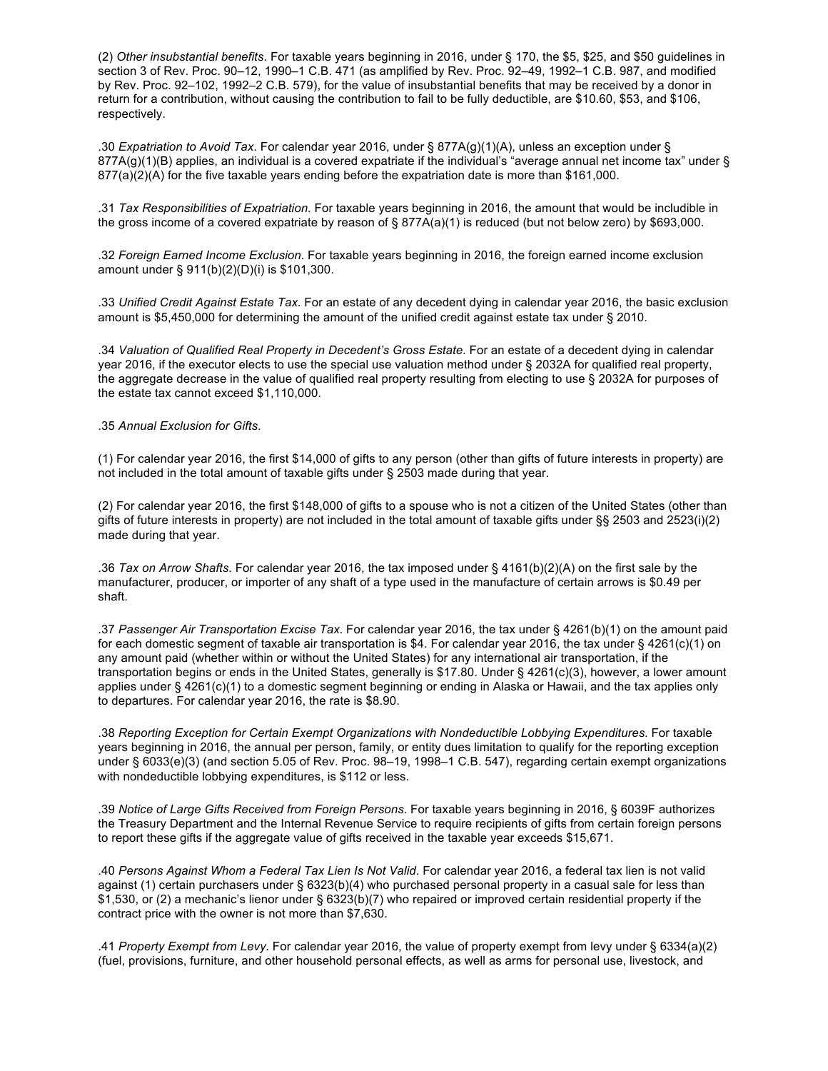(2) *Other insubstantial benefits*. For taxable years beginning in 2016, under § 170, the \$5, \$25, and \$50 guidelines in section 3 of Rev. Proc. 90–12, 1990–1 C.B. 471 (as amplified by Rev. Proc. 92–49, 1992–1 C.B. 987, and modified by Rev. Proc. 92–102, 1992–2 C.B. 579), for the value of insubstantial benefits that may be received by a donor in return for a contribution, without causing the contribution to fail to be fully deductible, are \$10.60, \$53, and \$106, respectively.

.30 *Expatriation to Avoid Tax*. For calendar year 2016, under § 877A(g)(1)(A), unless an exception under §  $877A(q)(1)(B)$  applies, an individual is a covered expatriate if the individual's "average annual net income tax" under § 877(a)(2)(A) for the five taxable years ending before the expatriation date is more than \$161,000.

.31 *Tax Responsibilities of Expatriation*. For taxable years beginning in 2016, the amount that would be includible in the gross income of a covered expatriate by reason of § 877A(a)(1) is reduced (but not below zero) by \$693,000.

.32 *Foreign Earned Income Exclusion*. For taxable years beginning in 2016, the foreign earned income exclusion amount under § 911(b)(2)(D)(i) is \$101,300.

.33 *Unified Credit Against Estate Tax*. For an estate of any decedent dying in calendar year 2016, the basic exclusion amount is \$5,450,000 for determining the amount of the unified credit against estate tax under § 2010.

.34 *Valuation of Qualified Real Property in Decedent's Gross Estate*. For an estate of a decedent dying in calendar year 2016, if the executor elects to use the special use valuation method under § 2032A for qualified real property, the aggregate decrease in the value of qualified real property resulting from electing to use § 2032A for purposes of the estate tax cannot exceed \$1,110,000.

.35 *Annual Exclusion for Gifts*.

(1) For calendar year 2016, the first \$14,000 of gifts to any person (other than gifts of future interests in property) are not included in the total amount of taxable gifts under § 2503 made during that year.

(2) For calendar year 2016, the first \$148,000 of gifts to a spouse who is not a citizen of the United States (other than gifts of future interests in property) are not included in the total amount of taxable gifts under §§ 2503 and 2523(i)(2) made during that year.

.36 *Tax on Arrow Shafts*. For calendar year 2016, the tax imposed under § 4161(b)(2)(A) on the first sale by the manufacturer, producer, or importer of any shaft of a type used in the manufacture of certain arrows is \$0.49 per shaft.

.37 *Passenger Air Transportation Excise Tax*. For calendar year 2016, the tax under § 4261(b)(1) on the amount paid for each domestic segment of taxable air transportation is \$4. For calendar year 2016, the tax under § 4261(c)(1) on any amount paid (whether within or without the United States) for any international air transportation, if the transportation begins or ends in the United States, generally is \$17.80. Under § 4261(c)(3), however, a lower amount applies under § 4261(c)(1) to a domestic segment beginning or ending in Alaska or Hawaii, and the tax applies only to departures. For calendar year 2016, the rate is \$8.90.

.38 *Reporting Exception for Certain Exempt Organizations with Nondeductible Lobbying Expenditures*. For taxable years beginning in 2016, the annual per person, family, or entity dues limitation to qualify for the reporting exception under § 6033(e)(3) (and section 5.05 of Rev. Proc. 98–19, 1998–1 C.B. 547), regarding certain exempt organizations with nondeductible lobbying expenditures, is \$112 or less.

.39 *Notice of Large Gifts Received from Foreign Persons*. For taxable years beginning in 2016, § 6039F authorizes the Treasury Department and the Internal Revenue Service to require recipients of gifts from certain foreign persons to report these gifts if the aggregate value of gifts received in the taxable year exceeds \$15,671.

.40 *Persons Against Whom a Federal Tax Lien Is Not Valid*. For calendar year 2016, a federal tax lien is not valid against (1) certain purchasers under § 6323(b)(4) who purchased personal property in a casual sale for less than \$1,530, or (2) a mechanic's lienor under § 6323(b)(7) who repaired or improved certain residential property if the contract price with the owner is not more than \$7,630.

.41 *Property Exempt from Levy*. For calendar year 2016, the value of property exempt from levy under § 6334(a)(2) (fuel, provisions, furniture, and other household personal effects, as well as arms for personal use, livestock, and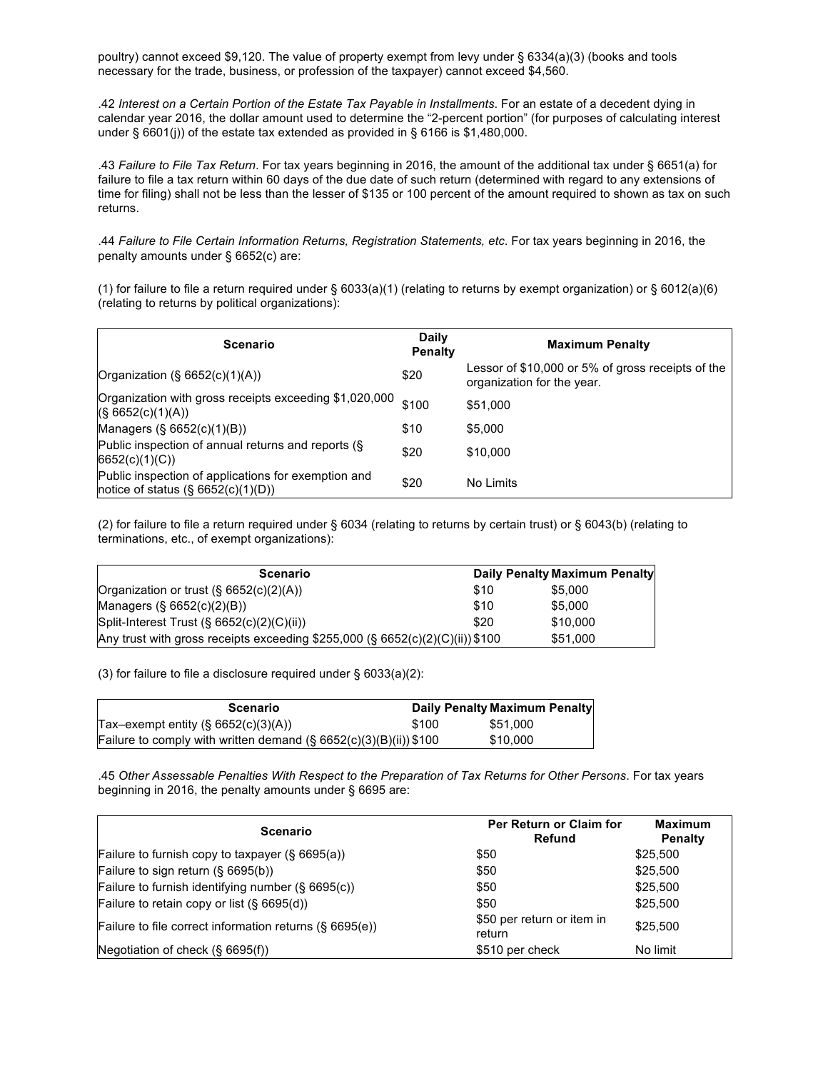poultry) cannot exceed \$9,120. The value of property exempt from levy under § 6334(a)(3) (books and tools necessary for the trade, business, or profession of the taxpayer) cannot exceed \$4,560.

.42 *Interest on a Certain Portion of the Estate Tax Payable in Installments*. For an estate of a decedent dying in calendar year 2016, the dollar amount used to determine the "2-percent portion" (for purposes of calculating interest under § 6601(j)) of the estate tax extended as provided in § 6166 is \$1,480,000.

.43 *Failure to File Tax Return*. For tax years beginning in 2016, the amount of the additional tax under § 6651(a) for failure to file a tax return within 60 days of the due date of such return (determined with regard to any extensions of time for filing) shall not be less than the lesser of \$135 or 100 percent of the amount required to shown as tax on such returns.

.44 *Failure to File Certain Information Returns, Registration Statements, etc*. For tax years beginning in 2016, the penalty amounts under § 6652(c) are:

(1) for failure to file a return required under § 6033(a)(1) (relating to returns by exempt organization) or § 6012(a)(6) (relating to returns by political organizations):

| <b>Scenario</b>                                                                              | Daily<br><b>Penalty</b> | <b>Maximum Penalty</b>                                                          |
|----------------------------------------------------------------------------------------------|-------------------------|---------------------------------------------------------------------------------|
| Organization $(\S 6652(c)(1)(A))$                                                            | \$20                    | Lessor of \$10,000 or 5% of gross receipts of the<br>organization for the year. |
| Organization with gross receipts exceeding \$1,020,000<br>(S 6652(c)(1)(A))                  | \$100                   | \$51,000                                                                        |
| Managers $(S, 6652(c)(1)(B))$                                                                | \$10                    | \$5,000                                                                         |
| Public inspection of annual returns and reports (§<br>6652(c)(1)(C))                         | \$20                    | \$10,000                                                                        |
| Public inspection of applications for exemption and<br>notice of status $(\S 6652(c)(1)(D))$ | \$20                    | No Limits                                                                       |

(2) for failure to file a return required under § 6034 (relating to returns by certain trust) or § 6043(b) (relating to terminations, etc., of exempt organizations):

| <b>Scenario</b>                                                               |      | Daily Penalty Maximum Penalty |
|-------------------------------------------------------------------------------|------|-------------------------------|
| Organization or trust $(\S 6652(c)(2)(A))$                                    | \$10 | \$5,000                       |
| Managers $(\S 6652(c)(2)(B))$                                                 | \$10 | \$5,000                       |
| Split-Interest Trust (§ 6652(c)(2)(C)(ii))                                    | \$20 | \$10,000                      |
| Any trust with gross receipts exceeding \$255,000 (§ 6652(c)(2)(C)(ii)) \$100 |      | \$51,000                      |

(3) for failure to file a disclosure required under § 6033(a)(2):

| Scenario                                                             |       | Daily Penalty Maximum Penalty |
|----------------------------------------------------------------------|-------|-------------------------------|
| Tax-exempt entity $(\S 6652(c)(3)(A))$                               | \$100 | \$51.000                      |
| Failure to comply with written demand $(\S 6652(c)(3)(B)(ii))$ \$100 |       | \$10,000                      |

.45 *Other Assessable Penalties With Respect to the Preparation of Tax Returns for Other Persons*. For tax years beginning in 2016, the penalty amounts under § 6695 are:

| <b>Scenario</b>                                            | Per Return or Claim for<br>Refund    | <b>Maximum</b><br><b>Penalty</b> |
|------------------------------------------------------------|--------------------------------------|----------------------------------|
| Failure to furnish copy to taxpayer $(\S 6695(a))$         | \$50                                 | \$25,500                         |
| Failure to sign return $(S 6695(b))$                       | \$50                                 | \$25,500                         |
| Failure to furnish identifying number (§ 6695(c))          | \$50                                 | \$25,500                         |
| Failure to retain copy or list $(\S 6695(d))$              | \$50                                 | \$25,500                         |
| Failure to file correct information returns $(\S 6695(e))$ | \$50 per return or item in<br>return | \$25,500                         |
| Negotiation of check $(\S 6695(f))$                        | \$510 per check                      | No limit                         |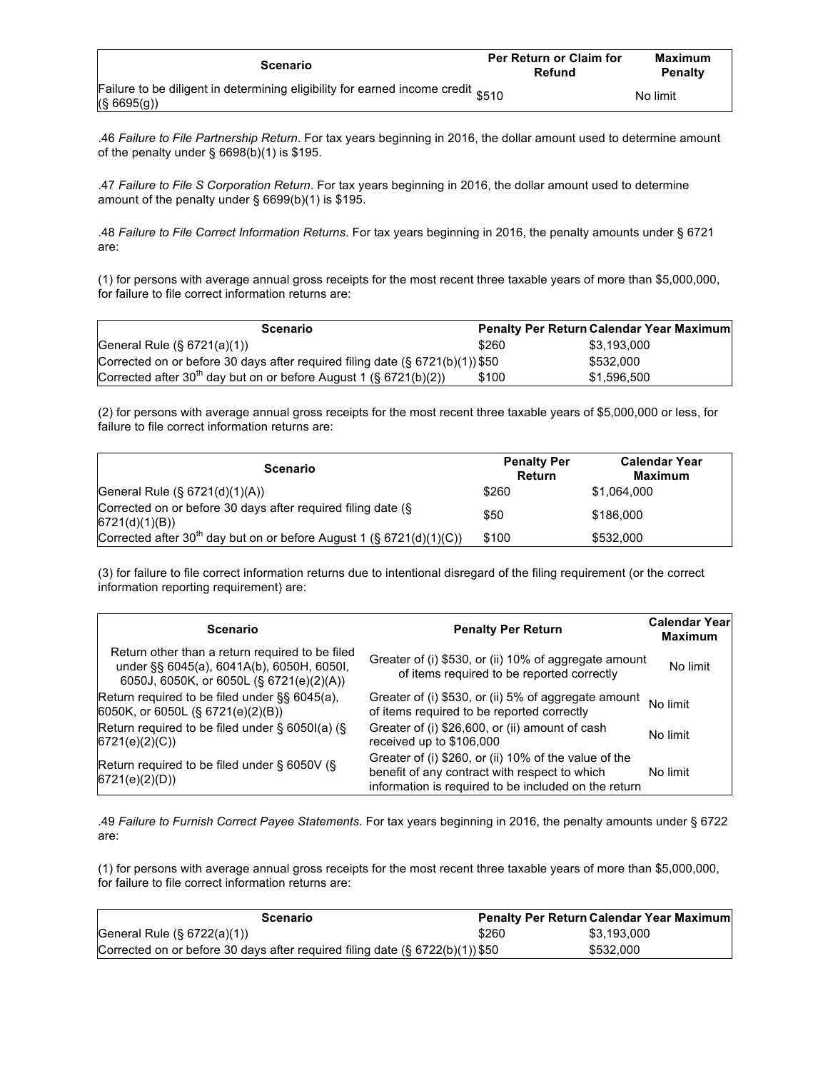| Scenario                                                                                        | <b>Per Return or Claim for</b><br>Refund | Maximum<br>Penalty |
|-------------------------------------------------------------------------------------------------|------------------------------------------|--------------------|
| Failure to be diligent in determining eligibility for earned income credit \$510<br>(S 6695(g)) |                                          | No limit           |

.46 *Failure to File Partnership Return*. For tax years beginning in 2016, the dollar amount used to determine amount of the penalty under  $\S$  6698(b)(1) is \$195.

.47 *Failure to File S Corporation Return*. For tax years beginning in 2016, the dollar amount used to determine amount of the penalty under § 6699(b)(1) is \$195.

.48 *Failure to File Correct Information Returns*. For tax years beginning in 2016, the penalty amounts under § 6721 are:

(1) for persons with average annual gross receipts for the most recent three taxable years of more than \$5,000,000, for failure to file correct information returns are:

| <b>Scenario</b>                                                                  |       | <b>Penalty Per Return Calendar Year Maximum</b> |
|----------------------------------------------------------------------------------|-------|-------------------------------------------------|
| General Rule $(\S$ 6721(a)(1))                                                   | \$260 | \$3.193.000                                     |
| Corrected on or before 30 days after required filing date $(\S 6721(b)(1))$ \$50 |       | \$532,000                                       |
| Corrected after 30 <sup>th</sup> day but on or before August 1 (§ 6721(b)(2))    | \$100 | \$1.596.500                                     |

(2) for persons with average annual gross receipts for the most recent three taxable years of \$5,000,000 or less, for failure to file correct information returns are:

| <b>Scenario</b>                                                                  | <b>Penalty Per</b><br>Return | <b>Calendar Year</b><br>Maximum |
|----------------------------------------------------------------------------------|------------------------------|---------------------------------|
| General Rule $(\S 6721(d)(1)(A))$                                                | \$260                        | \$1,064,000                     |
| Corrected on or before 30 days after required filing date (§<br>6721(d)(1)(B))   | \$50                         | \$186,000                       |
| Corrected after 30 <sup>th</sup> day but on or before August 1 (§ 6721(d)(1)(C)) | \$100                        | \$532,000                       |

(3) for failure to file correct information returns due to intentional disregard of the filing requirement (or the correct information reporting requirement) are:

| <b>Scenario</b>                                                                                                                          | <b>Penalty Per Return</b>                                                                                                                                      | <b>Calendar Year</b><br><b>Maximum</b> |
|------------------------------------------------------------------------------------------------------------------------------------------|----------------------------------------------------------------------------------------------------------------------------------------------------------------|----------------------------------------|
| Return other than a return required to be filed<br>under §§ 6045(a), 6041A(b), 6050H, 6050I,<br>6050J, 6050K, or 6050L (§ 6721(e)(2)(A)) | Greater of (i) \$530, or (ii) 10% of aggregate amount<br>of items required to be reported correctly                                                            | No limit                               |
| Return required to be filed under §§ 6045(a),<br>6050K, or 6050L (§ 6721(e)(2)(B))                                                       | Greater of (i) \$530, or (ii) 5% of aggregate amount<br>of items required to be reported correctly                                                             | No limit                               |
| Return required to be filed under $\S$ 6050I(a) ( $\S$<br>6721(e)(2)(C)                                                                  | Greater of (i) \$26,600, or (ii) amount of cash<br>received up to \$106,000                                                                                    | No limit                               |
| Return required to be filed under § 6050V (§<br>6721(e)(2)(D)                                                                            | Greater of (i) \$260, or (ii) 10% of the value of the<br>benefit of any contract with respect to which<br>information is required to be included on the return | No limit                               |

.49 *Failure to Furnish Correct Payee Statements*. For tax years beginning in 2016, the penalty amounts under § 6722 are:

(1) for persons with average annual gross receipts for the most recent three taxable years of more than \$5,000,000, for failure to file correct information returns are:

| Scenario                                                                      |       | <b>Penalty Per Return Calendar Year Maximum</b> |
|-------------------------------------------------------------------------------|-------|-------------------------------------------------|
| General Rule $(\S$ 6722(a)(1))                                                | \$260 | \$3.193.000                                     |
| Corrected on or before 30 days after required filing date (§ 6722(b)(1)) \$50 |       | \$532,000                                       |